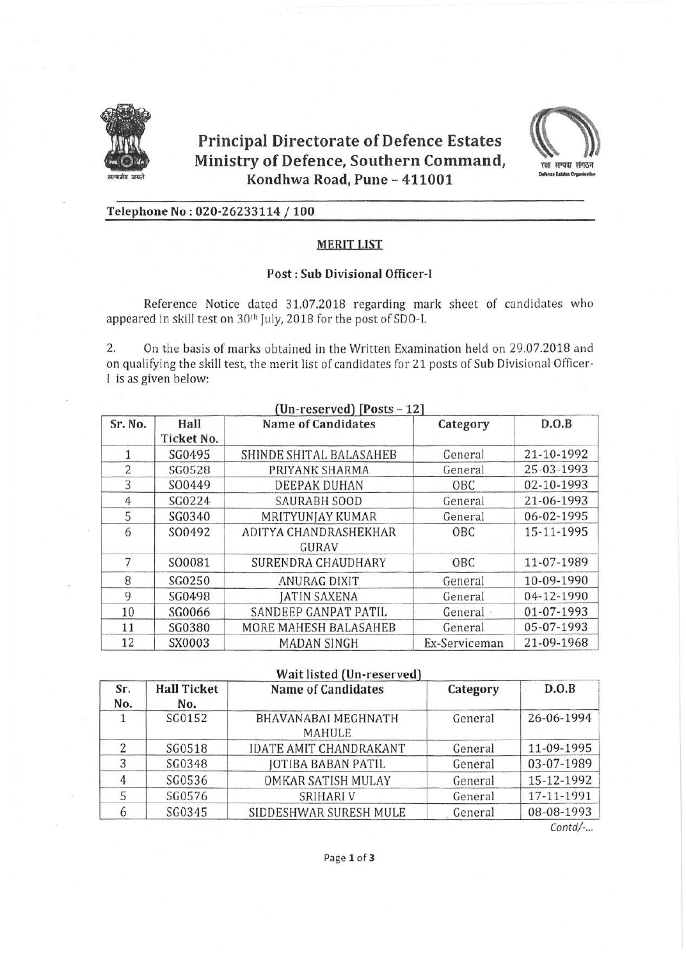

# **Principal Directorate of Defence Estates** Ministry of Defence, Southern Command, Kondhwa Road, Pune - 411001



# Telephone No: 020-26233114 / 100

## **MERIT LIST**

## **Post: Sub Divisional Officer-I**

Reference Notice dated 31.07.2018 regarding mark sheet of candidates who appeared in skill test on 30<sup>th</sup> July, 2018 for the post of SDO-I.

2. On the basis of marks obtained in the Written Examination held on 29.07.2018 and on qualifying the skill test, the merit list of candidates for 21 posts of Sub Divisional Officer-I is as given below:

| $(Un-reserved)$ [Posts – 12] |                    |                                |               |            |  |
|------------------------------|--------------------|--------------------------------|---------------|------------|--|
| Sr. No.                      | Hall<br>Ticket No. | <b>Name of Candidates</b>      | Category      | D.O.B      |  |
|                              | SG0495             | SHINDE SHITAL BALASAHEB        | General       | 21-10-1992 |  |
| $\overline{2}$               | SG0528             | PRIYANK SHARMA                 | General       | 25-03-1993 |  |
| 3                            | SO0449             | <b>DEEPAK DUHAN</b>            | OBC           | 02-10-1993 |  |
| 4                            | SG0224             | <b>SAURABH SOOD</b>            | General       | 21-06-1993 |  |
| 5                            | SG0340             | MRITYUNJAY KUMAR               | General       | 06-02-1995 |  |
| 6                            | SO0492             | ADITYA CHANDRASHEKHAR<br>GURAV | OBC           | 15-11-1995 |  |
| 7                            | SO0081             | SURENDRA CHAUDHARY             | OBC           | 11-07-1989 |  |
| 8                            | SG0250             | ANURAG DIXIT                   | General       | 10-09-1990 |  |
| 9                            | SG0498             | <b>JATIN SAXENA</b>            | General       | 04-12-1990 |  |
| 10                           | SG0066             | SANDEEP GANPAT PATIL           | General       | 01-07-1993 |  |
| 11                           | SG0380             | MORE MAHESH BALASAHEB          | General       | 05-07-1993 |  |
| 12                           | SX0003             | <b>MADAN SINGH</b>             | Ex-Serviceman | 21-09-1968 |  |

## Wait listed (Un-reserved)

| Sr.<br>No. | <b>Hall Ticket</b><br>No. | <b>Name of Candidates</b>            | Category | D.O.B      |
|------------|---------------------------|--------------------------------------|----------|------------|
|            | SG0152                    | BHAVANABAI MEGHNATH<br><b>MAHULE</b> | General  | 26-06-1994 |
|            | SG0518                    | <b>IDATE AMIT CHANDRAKANT</b>        | General  | 11-09-1995 |
|            | SG0348                    | <b>JOTIBA BABAN PATIL</b>            | General  | 03-07-1989 |
|            | SG0536                    | <b>OMKAR SATISH MULAY</b>            | General  | 15-12-1992 |
|            | SG0576                    | <b>SRIHARI V</b>                     | General  | 17-11-1991 |
|            | SG0345                    | SIDDESHWAR SURESH MULE               | General  | 08-08-1993 |

Contd/-...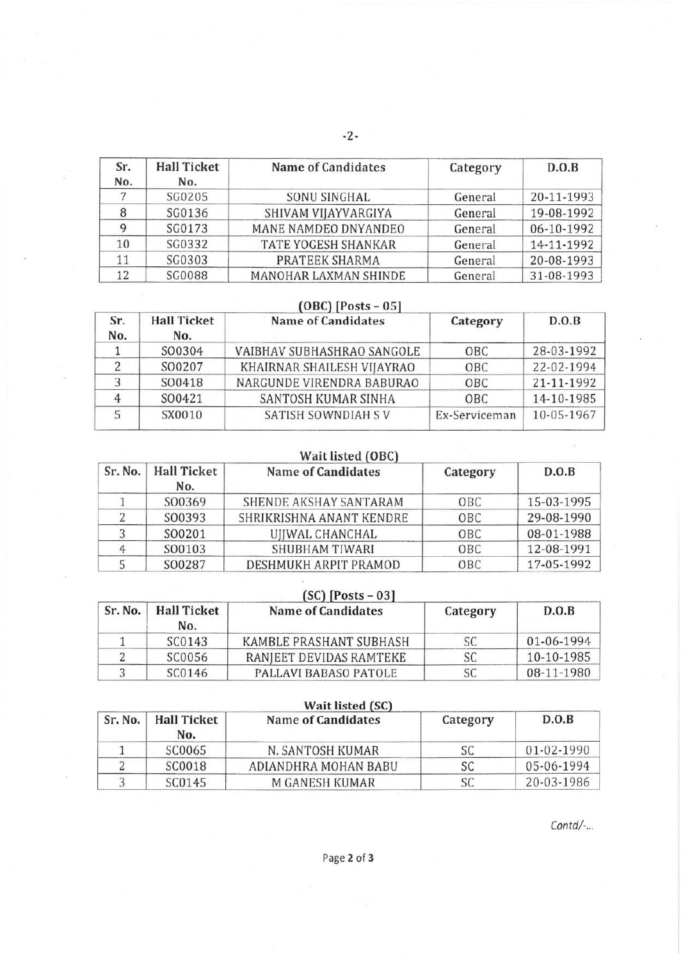| Sr.<br>No. | <b>Hall Ticket</b><br>No. | <b>Name of Candidates</b> | Category | D.O.B      |
|------------|---------------------------|---------------------------|----------|------------|
|            | SG0205                    | SONU SINGHAL              | General  | 20-11-1993 |
|            | SG0136                    | SHIVAM VIJAYVARGIYA       | General  | 19-08-1992 |
|            | SG0173                    | MANE NAMDEO DNYANDEO      | General  | 06-10-1992 |
| 10         | SG0332                    | TATE YOGESH SHANKAR       | General  | 14-11-1992 |
| 11         | SG0303                    | PRATEEK SHARMA            | General  | 20-08-1993 |
| 12         | <b>SG0088</b>             | MANOHAR LAXMAN SHINDE     | General  | 31-08-1993 |

# **(OBC) [Posts- OS]** .. ····------

| Sr.<br>No. | <b>Hall Ticket</b><br>No. | <b>Name of Candidates</b>  | Category      | D.O.B      |
|------------|---------------------------|----------------------------|---------------|------------|
|            | SO0304                    | VAIBHAV SUBHASHRAO SANGOLE | OBC           | 28-03-1992 |
|            | SO0207                    | KHAIRNAR SHAILESH VIJAYRAO | OBC           | 22-02-1994 |
|            | SO0418                    | NARGUNDE VIRENDRA BABURAO  | OBC           | 21-11-1992 |
|            | SO0421                    | SANTOSH KUMAR SINHA        | OBC           | 14-10-1985 |
|            | SX0010                    | SATISH SOWNDIAH SV         | Ex-Serviceman | 10-05-1967 |

# **Wait listed (OBC)**

| Sr. No. | <b>Hall Ticket</b><br>No. | <b>Name of Candidates</b> | Category   | D.O.B      |
|---------|---------------------------|---------------------------|------------|------------|
|         | SO0369                    | SHENDE AKSHAY SANTARAM    | OBC        | 15-03-1995 |
|         | SO0393                    | SHRIKRISHNA ANANT KENDRE  | OBC        | 29-08-1990 |
|         | SO0201                    | UJJWAL CHANCHAL           | OBC        | 08-01-1988 |
|         | SO0103                    | SHUBHAM TIWARI            | <b>OBC</b> | 12-08-1991 |
|         | SO0287                    | DESHMUKH ARPIT PRAMOD     | OBC        | 17-05-1992 |

| Sr. No. | <b>Hall Ticket</b><br>No. | $[SC]$ [Posts – 03]<br><b>Name of Candidates</b> | Category | D.O.B      |
|---------|---------------------------|--------------------------------------------------|----------|------------|
|         | SC0143                    | KAMBLE PRASHANT SUBHASH                          | SC       | 01-06-1994 |
|         | SC0056                    | RANJEET DEVIDAS RAMTEKE                          | SC       | 10-10-1985 |
|         | SC0146                    | PALLAVI BABASO PATOLE                            | SС       | 08-11-1980 |

| Wait listed (SC) |                           |                           |          |            |
|------------------|---------------------------|---------------------------|----------|------------|
| Sr. No.          | <b>Hall Ticket</b><br>No. | <b>Name of Candidates</b> | Category | D.O.B      |
|                  | SC0065                    | N. SANTOSH KUMAR          |          | 01-02-1990 |
|                  | SC0018                    | ADIANDHRA MOHAN BABU      |          | 05-06-1994 |
|                  | SC0145                    | <b>M GANESH KUMAR</b>     |          | 20-03-1986 |

*Contd/-...*